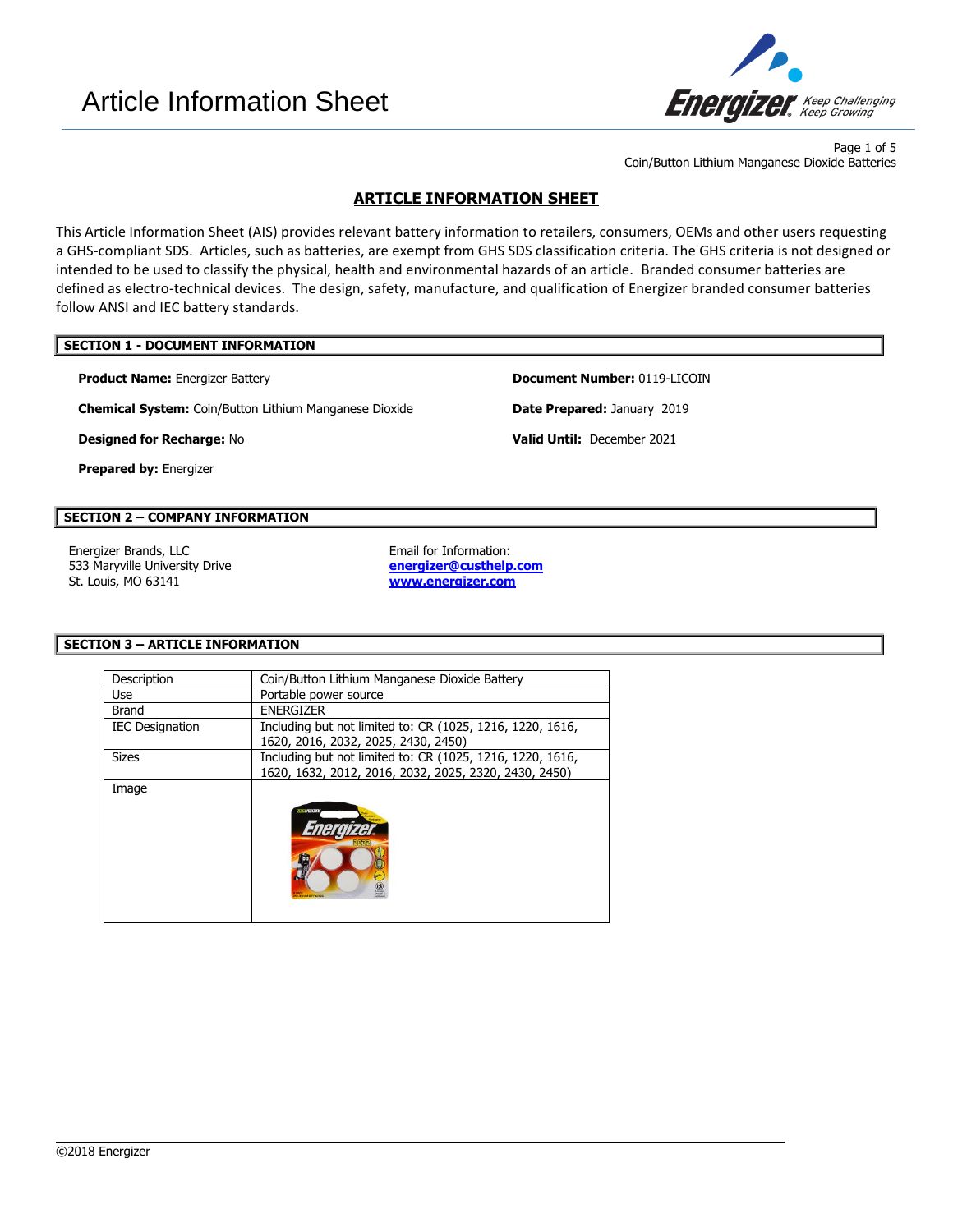

Page 1 of 5 Coin/Button Lithium Manganese Dioxide Batteries

# **ARTICLE INFORMATION SHEET**

This Article Information Sheet (AIS) provides relevant battery information to retailers, consumers, OEMs and other users requesting a GHS-compliant SDS. Articles, such as batteries, are exempt from GHS SDS classification criteria. The GHS criteria is not designed or intended to be used to classify the physical, health and environmental hazards of an article. Branded consumer batteries are defined as electro-technical devices. The design, safety, manufacture, and qualification of Energizer branded consumer batteries follow ANSI and IEC battery standards.

### **SECTION 1 - DOCUMENT INFORMATION**

**Product Name:** Energizer Battery **Document Number:** 0119-LICOIN

**Chemical System:** Coin/Button Lithium Manganese Dioxide **Date Prepared:** January 2019

**Prepared by:** Energizer

# **SECTION 2 – COMPANY INFORMATION**

Energizer Brands, LLC **Email for Information:** 533 Maryville University Drive St. Louis, MO 63141

**[energizer@custhelp.com](mailto:energizer@custhelp.com) [www.energizer.com](http://www.energizer.com/)**

 $\overline{\phantom{a}}$ 

## **SECTION 3 – ARTICLE INFORMATION**

| Description            | Coin/Button Lithium Manganese Dioxide Battery                                                                      |  |
|------------------------|--------------------------------------------------------------------------------------------------------------------|--|
| Use                    | Portable power source                                                                                              |  |
| <b>Brand</b>           | <b>ENERGIZER</b>                                                                                                   |  |
| <b>IEC Designation</b> | Including but not limited to: CR (1025, 1216, 1220, 1616,<br>1620, 2016, 2032, 2025, 2430, 2450)                   |  |
| <b>Sizes</b>           | Including but not limited to: CR (1025, 1216, 1220, 1616,<br>1620, 1632, 2012, 2016, 2032, 2025, 2320, 2430, 2450) |  |
| Image                  |                                                                                                                    |  |

**Designed for Recharge:** No **Valid Until:** December 2021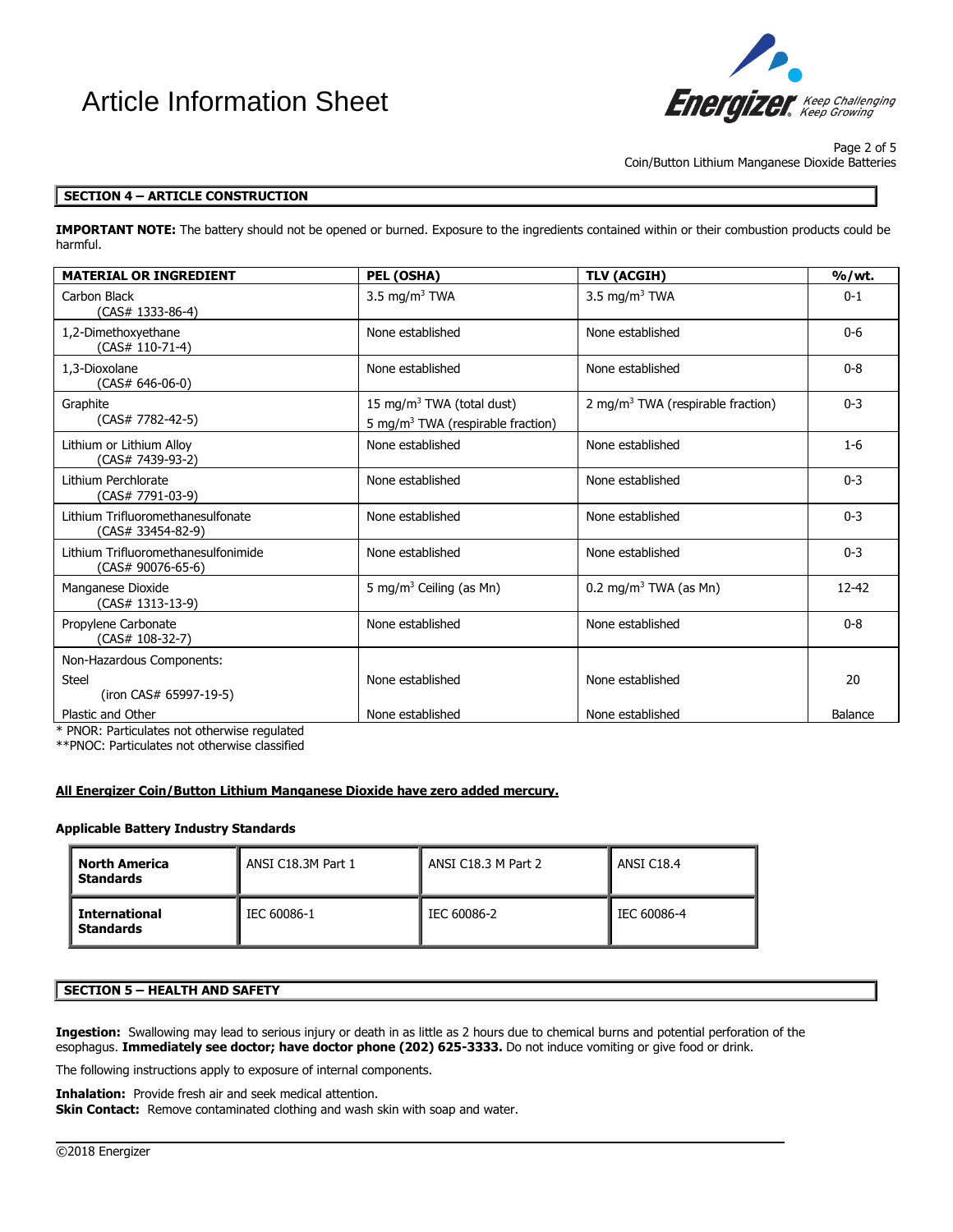# Article Information Sheet



Page 2 of 5 Coin/Button Lithium Manganese Dioxide Batteries

# **SECTION 4 – ARTICLE CONSTRUCTION**

**IMPORTANT NOTE:** The battery should not be opened or burned. Exposure to the ingredients contained within or their combustion products could be harmful.

| <b>MATERIAL OR INGREDIENT</b>                            | PEL (OSHA)                                                                             | <b>TLV (ACGIH)</b>                            | % / wt.        |
|----------------------------------------------------------|----------------------------------------------------------------------------------------|-----------------------------------------------|----------------|
| Carbon Black<br>$(CAS# 1333-86-4)$                       | 3.5 mg/m <sup>3</sup> TWA                                                              | 3.5 mg/m <sup>3</sup> TWA                     | $0 - 1$        |
| 1,2-Dimethoxyethane<br>(CAS# 110-71-4)                   | None established                                                                       | None established                              | $0-6$          |
| 1.3-Dioxolane<br>$(CAS# 646-06-0)$                       | None established                                                                       | None established                              | $0 - 8$        |
| Graphite<br>$(CAS# 7782-42-5)$                           | 15 mg/m <sup>3</sup> TWA (total dust)<br>5 mg/m <sup>3</sup> TWA (respirable fraction) | 2 mg/m <sup>3</sup> TWA (respirable fraction) | $0 - 3$        |
| Lithium or Lithium Alloy<br>(CAS# 7439-93-2)             | None established                                                                       | None established                              | $1-6$          |
| Lithium Perchlorate<br>(CAS# 7791-03-9)                  | None established                                                                       | None established                              | $0 - 3$        |
| Lithium Trifluoromethanesulfonate<br>(CAS# 33454-82-9)   | None established                                                                       | None established                              | $0 - 3$        |
| Lithium Trifluoromethanesulfonimide<br>(CAS# 90076-65-6) | None established                                                                       | None established                              | $0 - 3$        |
| Manganese Dioxide<br>(CAS# 1313-13-9)                    | 5 mg/m <sup>3</sup> Ceiling (as Mn)                                                    | 0.2 mg/m <sup>3</sup> TWA (as Mn)             | $12 - 42$      |
| Propylene Carbonate<br>(CAS# 108-32-7)                   | None established                                                                       | None established                              | $0 - 8$        |
| Non-Hazardous Components:                                |                                                                                        |                                               |                |
| <b>Steel</b><br>(iron CAS# 65997-19-5)                   | None established                                                                       | None established                              | 20             |
| Plastic and Other<br>.                                   | None established                                                                       | None established                              | <b>Balance</b> |

\* PNOR: Particulates not otherwise regulated

\*\*PNOC: Particulates not otherwise classified

#### **All Energizer Coin/Button Lithium Manganese Dioxide have zero added mercury.**

#### **Applicable Battery Industry Standards**

| North America<br><b>Standards</b>        | ANSI C18.3M Part 1 | ANSI C18.3 M Part 2 | ANSI C18.4  |
|------------------------------------------|--------------------|---------------------|-------------|
| <b>International</b><br><b>Standards</b> | IEC 60086-1        | IEC 60086-2         | IEC 60086-4 |

### **SECTION 5 – HEALTH AND SAFETY**

**Ingestion:** Swallowing may lead to serious injury or death in as little as 2 hours due to chemical burns and potential perforation of the esophagus. **Immediately see doctor; have doctor phone (202) 625-3333.** Do not induce vomiting or give food or drink.

 $\overline{\phantom{a}}$ 

The following instructions apply to exposure of internal components.

**Inhalation:** Provide fresh air and seek medical attention.

**Skin Contact:** Remove contaminated clothing and wash skin with soap and water.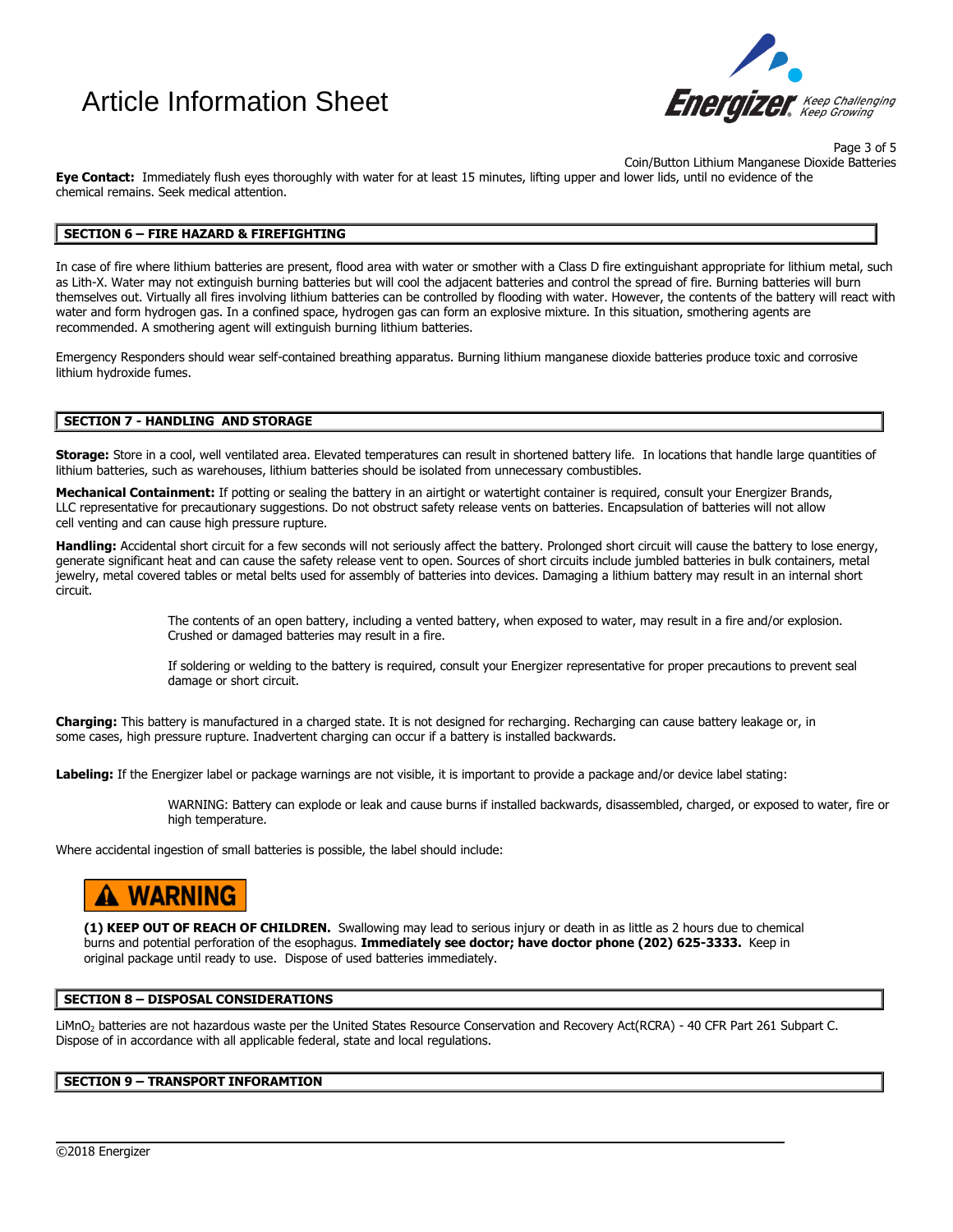# Article Information Sheet



Page 3 of 5 Coin/Button Lithium Manganese Dioxide Batteries

**Eye Contact:** Immediately flush eyes thoroughly with water for at least 15 minutes, lifting upper and lower lids, until no evidence of the chemical remains. Seek medical attention.

## **SECTION 6 – FIRE HAZARD & FIREFIGHTING**

In case of fire where lithium batteries are present, flood area with water or smother with a Class D fire extinguishant appropriate for lithium metal, such as Lith-X. Water may not extinguish burning batteries but will cool the adjacent batteries and control the spread of fire. Burning batteries will burn themselves out. Virtually all fires involving lithium batteries can be controlled by flooding with water. However, the contents of the battery will react with water and form hydrogen gas. In a confined space, hydrogen gas can form an explosive mixture. In this situation, smothering agents are recommended. A smothering agent will extinguish burning lithium batteries.

Emergency Responders should wear self-contained breathing apparatus. Burning lithium manganese dioxide batteries produce toxic and corrosive lithium hydroxide fumes.

#### **SECTION 7 - HANDLING AND STORAGE**

**Storage:** Store in a cool, well ventilated area. Elevated temperatures can result in shortened battery life. In locations that handle large quantities of lithium batteries, such as warehouses, lithium batteries should be isolated from unnecessary combustibles.

Mechanical Containment: If potting or sealing the battery in an airtight or watertight container is required, consult your Energizer Brands, LLC representative for precautionary suggestions. Do not obstruct safety release vents on batteries. Encapsulation of batteries will not allow cell venting and can cause high pressure rupture.

Handling: Accidental short circuit for a few seconds will not seriously affect the battery. Prolonged short circuit will cause the battery to lose energy, generate significant heat and can cause the safety release vent to open. Sources of short circuits include jumbled batteries in bulk containers, metal jewelry, metal covered tables or metal belts used for assembly of batteries into devices. Damaging a lithium battery may result in an internal short circuit.

> The contents of an open battery, including a vented battery, when exposed to water, may result in a fire and/or explosion. Crushed or damaged batteries may result in a fire.

If soldering or welding to the battery is required, consult your Energizer representative for proper precautions to prevent seal damage or short circuit.

**Charging:** This battery is manufactured in a charged state. It is not designed for recharging. Recharging can cause battery leakage or, in some cases, high pressure rupture. Inadvertent charging can occur if a battery is installed backwards.

**Labeling:** If the Energizer label or package warnings are not visible, it is important to provide a package and/or device label stating:

WARNING: Battery can explode or leak and cause burns if installed backwards, disassembled, charged, or exposed to water, fire or high temperature.

Where accidental ingestion of small batteries is possible, the label should include:

# A WARNING

**(1) KEEP OUT OF REACH OF CHILDREN.** Swallowing may lead to serious injury or death in as little as 2 hours due to chemical burns and potential perforation of the esophagus. **Immediately see doctor; have doctor phone (202) 625-3333.** Keep in original package until ready to use. Dispose of used batteries immediately.

#### **SECTION 8 – DISPOSAL CONSIDERATIONS**

LiMnO<sup>2</sup> batteries are not hazardous waste per the United States Resource Conservation and Recovery Act(RCRA) - 40 CFR Part 261 Subpart C. Dispose of in accordance with all applicable federal, state and local regulations.

 $\overline{\phantom{a}}$ 

#### **SECTION 9 – TRANSPORT INFORAMTION**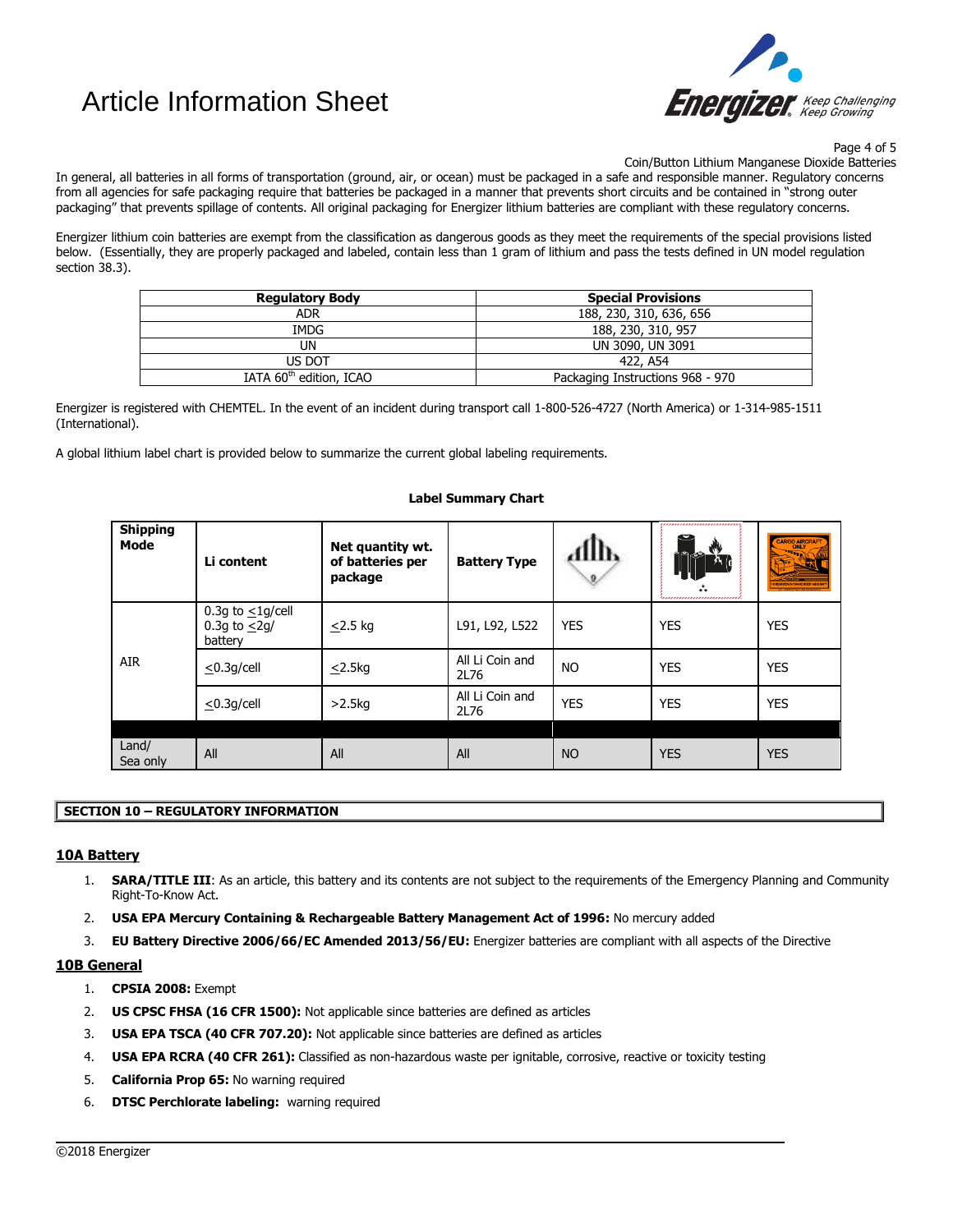# Article Information Sheet



Page 4 of 5

Coin/Button Lithium Manganese Dioxide Batteries

In general, all batteries in all forms of transportation (ground, air, or ocean) must be packaged in a safe and responsible manner. Regulatory concerns from all agencies for safe packaging require that batteries be packaged in a manner that prevents short circuits and be contained in "strong outer packaging" that prevents spillage of contents. All original packaging for Energizer lithium batteries are compliant with these regulatory concerns.

Energizer lithium coin batteries are exempt from the classification as dangerous goods as they meet the requirements of the special provisions listed below. (Essentially, they are properly packaged and labeled, contain less than 1 gram of lithium and pass the tests defined in UN model regulation section 38.3).

| <b>Regulatory Body</b>              | <b>Special Provisions</b>        |  |
|-------------------------------------|----------------------------------|--|
| <b>ADR</b>                          | 188, 230, 310, 636, 656          |  |
| IMDG                                | 188, 230, 310, 957               |  |
| UN                                  | UN 3090, UN 3091                 |  |
| US DOT                              | 422, A54                         |  |
| IATA 60 <sup>th</sup> edition, ICAO | Packaging Instructions 968 - 970 |  |

Energizer is registered with CHEMTEL. In the event of an incident during transport call 1-800-526-4727 (North America) or 1-314-985-1511 (International).

A global lithium label chart is provided below to summarize the current global labeling requirements.

#### **Shipping Mode Li content Net quantity wt. of batteries per package Battery Type** AIR 0.3g to  $\leq$ 1g/cell 0.3g to  $\leq$ 2g/ battery  $\le$ 2.5 kg  $\vert$  L91, L92, L522 YES  $\vert$  YES  $\vert$  YES  $\vert$  YES  $\leq$ 0.3g/cell  $\leq$ 2.5kg All Li Coin and  $2L76$  NO YES YES  $\leq$ 0.3g/cell >2.5kg All Li Coin and Participation of the YES Are NES WES Land/<br>Sea only Land, All All All All All All NO YES YES YES

### **Label Summary Chart**

# **SECTION 10 – REGULATORY INFORMATION**

## **10A Battery**

1. **SARA/TITLE III**: As an article, this battery and its contents are not subject to the requirements of the Emergency Planning and Community Right-To-Know Act.

 $\overline{\phantom{a}}$ 

- 2. **USA EPA Mercury Containing & Rechargeable Battery Management Act of 1996:** No mercury added
- 3. **EU Battery Directive 2006/66/EC Amended 2013/56/EU:** Energizer batteries are compliant with all aspects of the Directive

## **10B General**

- 1. **CPSIA 2008:** Exempt
- 2. **US CPSC FHSA (16 CFR 1500):** Not applicable since batteries are defined as articles
- 3. **USA EPA TSCA (40 CFR 707.20):** Not applicable since batteries are defined as articles
- 4. **USA EPA RCRA (40 CFR 261):** Classified as non-hazardous waste per ignitable, corrosive, reactive or toxicity testing
- 5. **California Prop 65:** No warning required
- 6. **DTSC Perchlorate labeling:** warning required